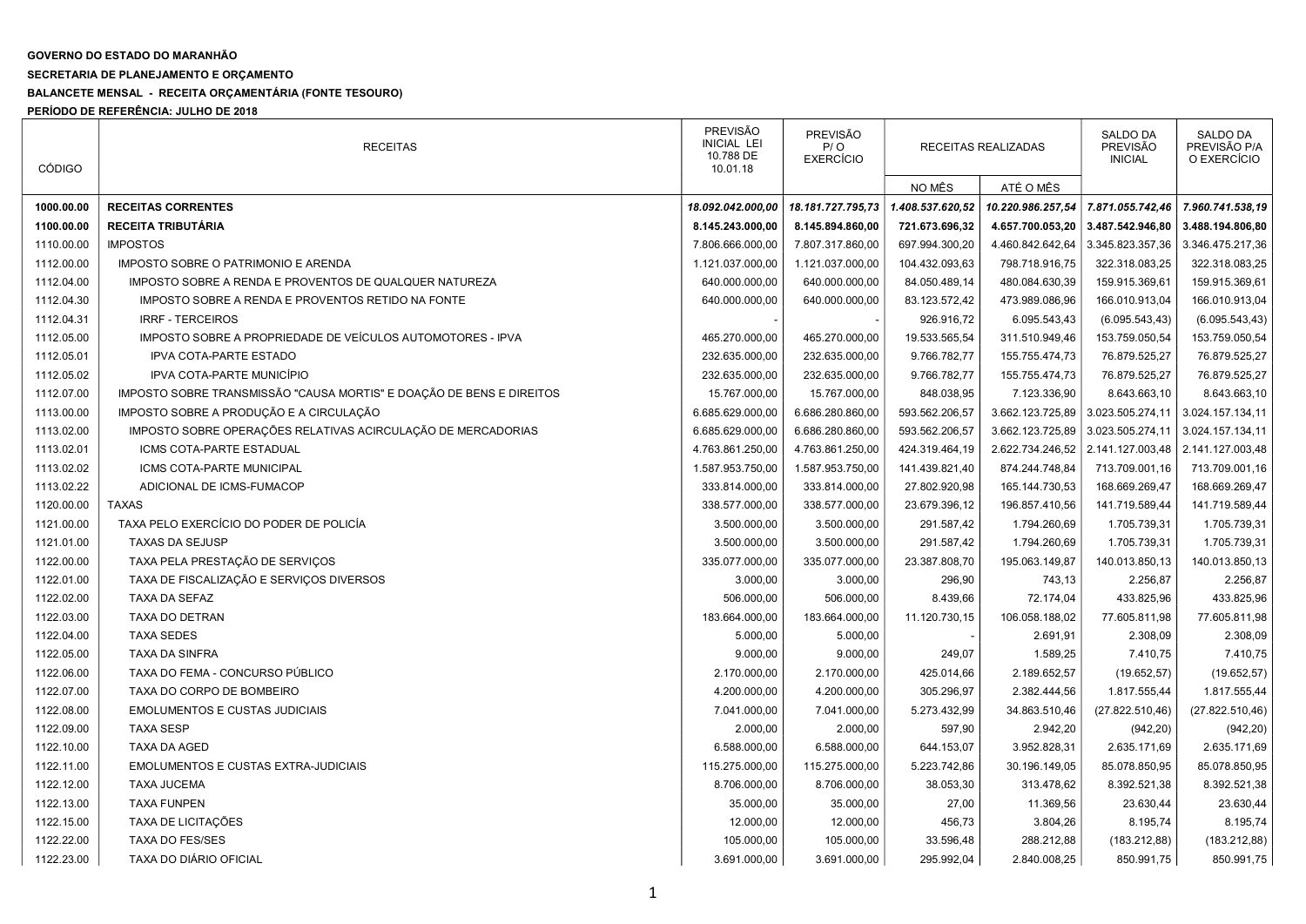## GOVERNO DO ESTADO DO MARANHÃO

## SECRETARIA DE PLANEJAMENTO E ORÇAMENTO

## BALANCETE MENSAL - RECEITA ORÇAMENTÁRIA (FONTE TESOURO)

PERÍODO DE REFERÊNCIA: JULHO DE 2018

| <b>CÓDIGO</b> | <b>RECEITAS</b>                                                      | <b>PREVISÃO</b><br><b>INICIAL LEI</b><br>10.788 DE<br>10.01.18 | <b>PREVISÃO</b><br>P/O<br><b>EXERCÍCIO</b> | RECEITAS REALIZADAS |                   | <b>SALDO DA</b><br><b>PREVISÃO</b><br><b>INICIAL</b> | <b>SALDO DA</b><br>PREVISÃO P/A<br>O EXERCÍCIO |
|---------------|----------------------------------------------------------------------|----------------------------------------------------------------|--------------------------------------------|---------------------|-------------------|------------------------------------------------------|------------------------------------------------|
|               |                                                                      |                                                                |                                            | NO MÊS              | ATÉ O MÊS         |                                                      |                                                |
| 1000.00.00    | <b>RECEITAS CORRENTES</b>                                            | 18.092.042.000,00                                              | 18.181.727.795,73                          | 1.408.537.620,52    | 10.220.986.257,54 | 7.871.055.742,46                                     | 7.960.741.538,19                               |
| 1100.00.00    | RECEITA TRIBUTÁRIA                                                   | 8.145.243.000,00                                               | 8.145.894.860,00                           | 721.673.696,32      | 4.657.700.053,20  | 3.487.542.946,80                                     | 3.488.194.806,80                               |
| 1110.00.00    | <b>IMPOSTOS</b>                                                      | 7.806.666.000,00                                               | 7.807.317.860,00                           | 697.994.300,20      | 4.460.842.642,64  | 3.345.823.357,36                                     | 3.346.475.217,36                               |
| 1112.00.00    | IMPOSTO SOBRE O PATRIMONIO E ARENDA                                  | 1.121.037.000,00                                               | 1.121.037.000,00                           | 104.432.093,63      | 798.718.916,75    | 322.318.083,25                                       | 322.318.083,25                                 |
| 1112.04.00    | IMPOSTO SOBRE A RENDA E PROVENTOS DE QUALQUER NATUREZA               | 640.000.000,00                                                 | 640.000.000,00                             | 84.050.489,14       | 480.084.630,39    | 159.915.369,61                                       | 159.915.369,61                                 |
| 1112.04.30    | IMPOSTO SOBRE A RENDA E PROVENTOS RETIDO NA FONTE                    | 640.000.000,00                                                 | 640.000.000,00                             | 83.123.572,42       | 473.989.086,96    | 166.010.913,04                                       | 166.010.913,04                                 |
| 1112.04.31    | <b>IRRF - TERCEIROS</b>                                              |                                                                |                                            | 926.916,72          | 6.095.543,43      | (6.095.543, 43)                                      | (6.095.543, 43)                                |
| 1112.05.00    | IMPOSTO SOBRE A PROPRIEDADE DE VEÍCULOS AUTOMOTORES - IPVA           | 465.270.000,00                                                 | 465.270.000,00                             | 19.533.565,54       | 311.510.949,46    | 153.759.050,54                                       | 153.759.050,54                                 |
| 1112.05.01    | <b>IPVA COTA-PARTE ESTADO</b>                                        | 232.635.000,00                                                 | 232.635.000,00                             | 9.766.782,77        | 155.755.474,73    | 76.879.525,27                                        | 76.879.525,27                                  |
| 1112.05.02    | IPVA COTA-PARTE MUNICÍPIO                                            | 232.635.000,00                                                 | 232.635.000,00                             | 9.766.782,77        | 155.755.474,73    | 76.879.525,27                                        | 76.879.525,27                                  |
| 1112.07.00    | IMPOSTO SOBRE TRANSMISSÃO "CAUSA MORTIS" E DOAÇÃO DE BENS E DIREITOS | 15.767.000,00                                                  | 15.767.000,00                              | 848.038,95          | 7.123.336,90      | 8.643.663,10                                         | 8.643.663,10                                   |
| 1113.00.00    | IMPOSTO SOBRE A PRODUÇÃO E A CIRCULAÇÃO                              | 6.685.629.000,00                                               | 6.686.280.860,00                           | 593.562.206,57      | 3.662.123.725,89  | 3.023.505.274,11                                     | 3.024.157.134,11                               |
| 1113.02.00    | IMPOSTO SOBRE OPERAÇÕES RELATIVAS ACIRCULAÇÃO DE MERCADORIAS         | 6.685.629.000,00                                               | 6.686.280.860,00                           | 593.562.206,57      | 3.662.123.725,89  | 3.023.505.274,11                                     | 3.024.157.134,11                               |
| 1113.02.01    | ICMS COTA-PARTE ESTADUAL                                             | 4.763.861.250,00                                               | 4.763.861.250,00                           | 424.319.464,19      | 2.622.734.246,52  | 2.141.127.003,48                                     | 2.141.127.003,48                               |
| 1113.02.02    | ICMS COTA-PARTE MUNICIPAL                                            | 1.587.953.750,00                                               | 1.587.953.750,00                           | 141.439.821,40      | 874.244.748,84    | 713.709.001,16                                       | 713.709.001,16                                 |
| 1113.02.22    | ADICIONAL DE ICMS-FUMACOP                                            | 333.814.000,00                                                 | 333.814.000,00                             | 27.802.920,98       | 165.144.730,53    | 168.669.269,47                                       | 168.669.269,47                                 |
| 1120.00.00    | <b>TAXAS</b>                                                         | 338.577.000,00                                                 | 338.577.000,00                             | 23.679.396,12       | 196.857.410,56    | 141.719.589,44                                       | 141.719.589,44                                 |
| 1121.00.00    | TAXA PELO EXERCÍCIO DO PODER DE POLICÍA                              | 3.500.000,00                                                   | 3.500.000,00                               | 291.587,42          | 1.794.260,69      | 1.705.739,31                                         | 1.705.739,31                                   |
| 1121.01.00    | <b>TAXAS DA SEJUSP</b>                                               | 3.500.000,00                                                   | 3.500.000,00                               | 291.587,42          | 1.794.260,69      | 1.705.739,31                                         | 1.705.739,31                                   |
| 1122.00.00    | TAXA PELA PRESTAÇÃO DE SERVIÇOS                                      | 335.077.000,00                                                 | 335.077.000,00                             | 23.387.808,70       | 195.063.149,87    | 140.013.850,13                                       | 140.013.850,13                                 |
| 1122.01.00    | TAXA DE FISCALIZAÇÃO E SERVIÇOS DIVERSOS                             | 3.000,00                                                       | 3.000,00                                   | 296,90              | 743,13            | 2.256,87                                             | 2.256,87                                       |
| 1122.02.00    | <b>TAXA DA SEFAZ</b>                                                 | 506.000,00                                                     | 506.000,00                                 | 8.439,66            | 72.174,04         | 433.825,96                                           | 433.825,96                                     |
| 1122.03.00    | TAXA DO DETRAN                                                       | 183.664.000,00                                                 | 183.664.000,00                             | 11.120.730,15       | 106.058.188,02    | 77.605.811,98                                        | 77.605.811,98                                  |
| 1122.04.00    | <b>TAXA SEDES</b>                                                    | 5.000,00                                                       | 5.000,00                                   |                     | 2.691,91          | 2.308,09                                             | 2.308,09                                       |
| 1122.05.00    | <b>TAXA DA SINFRA</b>                                                | 9.000,00                                                       | 9.000,00                                   | 249,07              | 1.589,25          | 7.410,75                                             | 7.410,75                                       |
| 1122.06.00    | TAXA DO FEMA - CONCURSO PÚBLICO                                      | 2.170.000,00                                                   | 2.170.000,00                               | 425.014,66          | 2.189.652,57      | (19.652, 57)                                         | (19.652, 57)                                   |
| 1122.07.00    | TAXA DO CORPO DE BOMBEIRO                                            | 4.200.000,00                                                   | 4.200.000,00                               | 305.296,97          | 2.382.444,56      | 1.817.555,44                                         | 1.817.555,44                                   |
| 1122.08.00    | <b>EMOLUMENTOS E CUSTAS JUDICIAIS</b>                                | 7.041.000,00                                                   | 7.041.000,00                               | 5.273.432,99        | 34.863.510,46     | (27.822.510,46)                                      | (27.822.510,46)                                |
| 1122.09.00    | <b>TAXA SESP</b>                                                     | 2.000,00                                                       | 2.000,00                                   | 597,90              | 2.942,20          | (942, 20)                                            | (942, 20)                                      |
| 1122.10.00    | <b>TAXA DA AGED</b>                                                  | 6.588.000,00                                                   | 6.588.000,00                               | 644.153,07          | 3.952.828,31      | 2.635.171,69                                         | 2.635.171,69                                   |
| 1122.11.00    | <b>EMOLUMENTOS E CUSTAS EXTRA-JUDICIAIS</b>                          | 115.275.000,00                                                 | 115.275.000,00                             | 5.223.742,86        | 30.196.149,05     | 85.078.850,95                                        | 85.078.850,95                                  |
| 1122.12.00    | <b>TAXA JUCEMA</b>                                                   | 8.706.000,00                                                   | 8.706.000,00                               | 38.053,30           | 313.478,62        | 8.392.521,38                                         | 8.392.521,38                                   |
| 1122.13.00    | <b>TAXA FUNPEN</b>                                                   | 35.000,00                                                      | 35.000,00                                  | 27,00               | 11.369,56         | 23.630,44                                            | 23.630,44                                      |
| 1122.15.00    | TAXA DE LICITAÇÕES                                                   | 12.000,00                                                      | 12.000,00                                  | 456,73              | 3.804,26          | 8.195,74                                             | 8.195,74                                       |
| 1122.22.00    | <b>TAXA DO FES/SES</b>                                               | 105.000,00                                                     | 105.000,00                                 | 33.596,48           | 288.212,88        | (183.212,88)                                         | (183.212,88)                                   |
| 1122.23.00    | TAXA DO DIÁRIO OFICIAL                                               | 3.691.000,00                                                   | 3.691.000,00                               | 295.992,04          | 2.840.008,25      | 850.991,75                                           | 850.991,75                                     |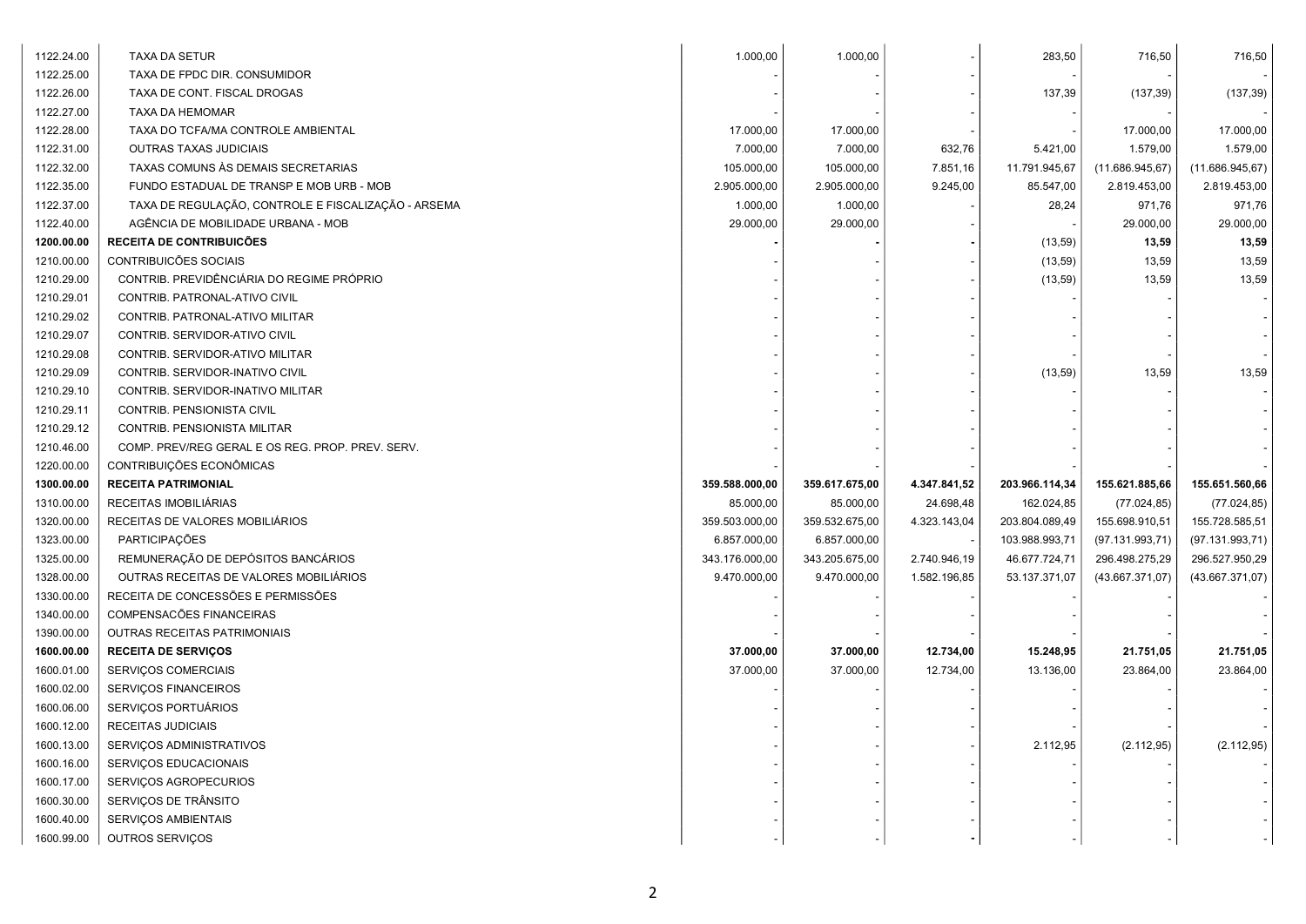| 1122.24.00 | <b>TAXA DA SETUR</b>                                | 1.000,00       | 1.000,00       |              | 283,50         | 716,50           | 716,50           |
|------------|-----------------------------------------------------|----------------|----------------|--------------|----------------|------------------|------------------|
| 1122.25.00 | TAXA DE FPDC DIR. CONSUMIDOR                        |                |                |              |                |                  |                  |
| 1122.26.00 | TAXA DE CONT. FISCAL DROGAS                         |                |                |              | 137,39         | (137, 39)        | (137, 39)        |
| 1122.27.00 | TAXA DA HEMOMAR                                     |                |                |              |                |                  |                  |
| 1122.28.00 | TAXA DO TCFA/MA CONTROLE AMBIENTAL                  | 17.000,00      | 17.000,00      |              |                | 17.000,00        | 17.000,00        |
| 1122.31.00 | <b>OUTRAS TAXAS JUDICIAIS</b>                       | 7.000,00       | 7.000,00       | 632,76       | 5.421,00       | 1.579,00         | 1.579,00         |
| 1122.32.00 | TAXAS COMUNS ÀS DEMAIS SECRETARIAS                  | 105.000,00     | 105.000,00     | 7.851,16     | 11.791.945,67  | (11.686.945, 67) | (11.686.945, 67) |
| 1122.35.00 | FUNDO ESTADUAL DE TRANSP E MOB URB - MOB            | 2.905.000,00   | 2.905.000,00   | 9.245,00     | 85.547,00      | 2.819.453,00     | 2.819.453,00     |
| 1122.37.00 | TAXA DE REGULAÇÃO, CONTROLE E FISCALIZAÇÃO - ARSEMA | 1.000,00       | 1.000,00       |              | 28,24          | 971,76           | 971,76           |
| 1122.40.00 | AGÊNCIA DE MOBILIDADE URBANA - MOB                  | 29.000,00      | 29.000,00      |              |                | 29.000,00        | 29.000,00        |
| 1200.00.00 | RECEITA DE CONTRIBUICÕES                            |                |                |              | (13, 59)       | 13,59            | 13,59            |
| 1210.00.00 | CONTRIBUICÕES SOCIAIS                               |                |                |              | (13, 59)       | 13,59            | 13,59            |
| 1210.29.00 | CONTRIB. PREVIDÊNCIÁRIA DO REGIME PRÓPRIO           |                |                |              | (13, 59)       | 13,59            | 13,59            |
| 1210.29.01 | CONTRIB. PATRONAL-ATIVO CIVIL                       |                |                |              |                |                  |                  |
| 1210.29.02 | CONTRIB. PATRONAL-ATIVO MILITAR                     |                |                |              |                |                  |                  |
| 1210.29.07 | CONTRIB. SERVIDOR-ATIVO CIVIL                       |                |                |              |                |                  |                  |
| 1210.29.08 | CONTRIB. SERVIDOR-ATIVO MILITAR                     |                |                |              |                |                  |                  |
| 1210.29.09 | CONTRIB. SERVIDOR-INATIVO CIVIL                     |                |                |              | (13, 59)       | 13,59            | 13,59            |
| 1210.29.10 | CONTRIB. SERVIDOR-INATIVO MILITAR                   |                |                |              |                |                  |                  |
| 1210.29.11 | CONTRIB. PENSIONISTA CIVIL                          |                |                |              |                |                  |                  |
| 1210.29.12 | CONTRIB. PENSIONISTA MILITAR                        |                |                |              |                |                  |                  |
| 1210.46.00 | COMP. PREV/REG GERAL E OS REG. PROP. PREV. SERV.    |                |                |              |                |                  |                  |
| 1220.00.00 | CONTRIBUIÇÕES ECONÔMICAS                            |                |                |              |                |                  |                  |
| 1300.00.00 | <b>RECEITA PATRIMONIAL</b>                          | 359.588.000,00 | 359.617.675,00 | 4.347.841,52 | 203.966.114,34 | 155.621.885,66   | 155.651.560,66   |
| 1310.00.00 | RECEITAS IMOBILIÁRIAS                               | 85.000,00      | 85.000,00      | 24.698,48    | 162.024,85     | (77.024, 85)     | (77.024, 85)     |
| 1320.00.00 | RECEITAS DE VALORES MOBILIÁRIOS                     | 359.503.000,00 | 359.532.675,00 | 4.323.143,04 | 203.804.089,49 | 155.698.910,51   | 155.728.585,51   |
| 1323.00.00 | PARTICIPAÇÕES                                       | 6.857.000,00   | 6.857.000,00   |              | 103.988.993,71 | (97.131.993,71)  | (97.131.993,71)  |
| 1325.00.00 | REMUNERAÇÃO DE DEPÓSITOS BANCÁRIOS                  | 343.176.000,00 | 343.205.675,00 | 2.740.946,19 | 46.677.724,71  | 296.498.275,29   | 296.527.950,29   |
| 1328.00.00 | OUTRAS RECEITAS DE VALORES MOBILIÁRIOS              | 9.470.000.00   | 9.470.000,00   | 1.582.196,85 | 53.137.371,07  | (43.667.371,07)  | (43.667.371,07)  |
| 1330.00.00 | RECEITA DE CONCESSÕES E PERMISSÕES                  |                |                |              |                |                  |                  |
| 1340.00.00 | COMPENSACÕES FINANCEIRAS                            |                |                |              |                |                  |                  |
| 1390.00.00 | OUTRAS RECEITAS PATRIMONIAIS                        |                |                |              |                |                  |                  |
| 1600.00.00 | <b>RECEITA DE SERVIÇOS</b>                          | 37.000,00      | 37.000,00      | 12.734,00    | 15.248,95      | 21.751,05        | 21.751,05        |
| 1600.01.00 | SERVIÇOS COMERCIAIS                                 | 37.000,00      | 37.000,00      | 12.734,00    | 13.136,00      | 23.864,00        | 23.864,00        |
| 1600.02.00 | SERVIÇOS FINANCEIROS                                |                |                |              |                |                  |                  |
| 1600.06.00 | SERVIÇOS PORTUÁRIOS                                 |                |                |              |                |                  |                  |
| 1600.12.00 | RECEITAS JUDICIAIS                                  |                |                |              |                |                  |                  |
| 1600.13.00 | SERVIÇOS ADMINISTRATIVOS                            |                |                |              | 2.112,95       | (2.112, 95)      | (2.112,95)       |
| 1600.16.00 | SERVIÇOS EDUCACIONAIS                               |                |                |              |                |                  |                  |
| 1600.17.00 | SERVIÇOS AGROPECURIOS                               |                |                |              |                |                  |                  |
| 1600.30.00 | SERVIÇOS DE TRÂNSITO                                |                |                |              |                |                  |                  |
| 1600.40.00 | SERVIÇOS AMBIENTAIS                                 |                |                |              |                |                  |                  |
|            |                                                     |                |                |              |                |                  |                  |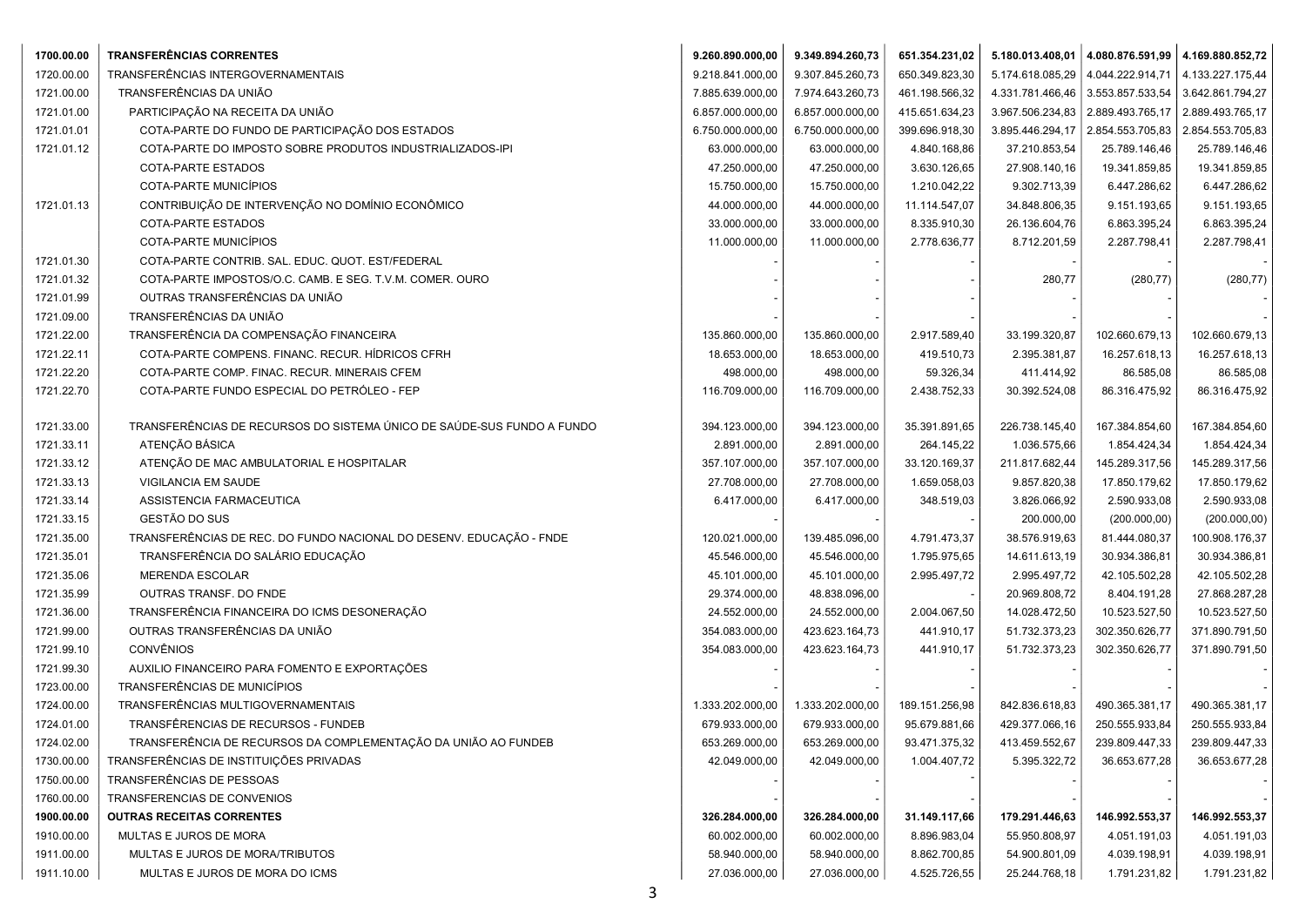| 1700.00.00 | <b>TRANSFERÊNCIAS CORRENTES</b>                                        | 9.260.890.000,00 | 9.349.894.260,73 | 651.354.231,02 |                  | $5.180.013.408,01$ 4.080.876.591,99 4.169.880.852,72 |                  |
|------------|------------------------------------------------------------------------|------------------|------------------|----------------|------------------|------------------------------------------------------|------------------|
| 1720.00.00 | TRANSFERÊNCIAS INTERGOVERNAMENTAIS                                     | 9.218.841.000,00 | 9.307.845.260,73 | 650.349.823,30 | 5.174.618.085,29 | 4.044.222.914,71                                     | 4.133.227.175,44 |
| 1721.00.00 | TRANSFERÊNCIAS DA UNIÃO                                                | 7.885.639.000,00 | 7.974.643.260,73 | 461.198.566,32 | 4.331.781.466,46 | 3.553.857.533,54                                     | 3.642.861.794,27 |
| 1721.01.00 | PARTICIPAÇÃO NA RECEITA DA UNIÃO                                       | 6.857.000.000,00 | 6.857.000.000,00 | 415.651.634,23 | 3.967.506.234,83 | 2.889.493.765,17                                     | 2.889.493.765,17 |
| 1721.01.01 | COTA-PARTE DO FUNDO DE PARTICIPAÇÃO DOS ESTADOS                        | 6.750.000.000,00 | 6.750.000.000,00 | 399.696.918,30 | 3.895.446.294,17 | 2.854.553.705,83                                     | 2.854.553.705,83 |
| 1721.01.12 | COTA-PARTE DO IMPOSTO SOBRE PRODUTOS INDUSTRIALIZADOS-IPI              | 63.000.000,00    | 63.000.000,00    | 4.840.168,86   | 37.210.853,54    | 25.789.146,46                                        | 25.789.146,46    |
|            | COTA-PARTE ESTADOS                                                     | 47.250.000,00    | 47.250.000,00    | 3.630.126,65   | 27.908.140,16    | 19.341.859,85                                        | 19.341.859,85    |
|            | COTA-PARTE MUNICÍPIOS                                                  | 15.750.000,00    | 15.750.000,00    | 1.210.042,22   | 9.302.713,39     | 6.447.286,62                                         | 6.447.286,62     |
| 1721.01.13 | CONTRIBUIÇÃO DE INTERVENÇÃO NO DOMÍNIO ECONÔMICO                       | 44.000.000,00    | 44.000.000,00    | 11.114.547,07  | 34.848.806,35    | 9.151.193,65                                         | 9.151.193,65     |
|            | COTA-PARTE ESTADOS                                                     | 33.000.000,00    | 33.000.000,00    | 8.335.910,30   | 26.136.604,76    | 6.863.395,24                                         | 6.863.395,24     |
|            | COTA-PARTE MUNICÍPIOS                                                  | 11.000.000,00    | 11.000.000,00    | 2.778.636,77   | 8.712.201,59     | 2.287.798,41                                         | 2.287.798,41     |
| 1721.01.30 | COTA-PARTE CONTRIB. SAL. EDUC. QUOT. EST/FEDERAL                       |                  |                  |                |                  |                                                      |                  |
| 1721.01.32 | COTA-PARTE IMPOSTOS/O.C. CAMB. E SEG. T.V.M. COMER. OURO               |                  |                  |                | 280,77           | (280, 77)                                            | (280, 77)        |
| 1721.01.99 | OUTRAS TRANSFERÊNCIAS DA UNIÃO                                         |                  |                  |                |                  |                                                      |                  |
| 1721.09.00 | TRANSFERÊNCIAS DA UNIÃO                                                |                  |                  |                |                  |                                                      |                  |
| 1721.22.00 | TRANSFERÊNCIA DA COMPENSAÇÃO FINANCEIRA                                | 135.860.000,00   | 135.860.000,00   | 2.917.589,40   | 33.199.320,87    | 102.660.679,13                                       | 102.660.679,13   |
| 1721.22.11 | COTA-PARTE COMPENS. FINANC. RECUR. HÍDRICOS CFRH                       | 18.653.000,00    | 18.653.000,00    | 419.510,73     | 2.395.381,87     | 16.257.618,13                                        | 16.257.618,13    |
| 1721.22.20 | COTA-PARTE COMP. FINAC. RECUR. MINERAIS CFEM                           | 498.000,00       | 498.000,00       | 59.326,34      | 411.414,92       | 86.585,08                                            | 86.585,08        |
| 1721.22.70 | COTA-PARTE FUNDO ESPECIAL DO PETRÓLEO - FEP                            | 116.709.000,00   | 116.709.000,00   | 2.438.752,33   | 30.392.524,08    | 86.316.475,92                                        | 86.316.475,92    |
|            |                                                                        |                  |                  |                |                  |                                                      |                  |
| 1721.33.00 | TRANSFERÊNCIAS DE RECURSOS DO SISTEMA ÚNICO DE SAÚDE-SUS FUNDO A FUNDO | 394.123.000,00   | 394.123.000,00   | 35.391.891,65  | 226.738.145,40   | 167.384.854,60                                       | 167.384.854,60   |
| 1721.33.11 | ATENÇÃO BÁSICA                                                         | 2.891.000,00     | 2.891.000,00     | 264.145,22     | 1.036.575,66     | 1.854.424,34                                         | 1.854.424,34     |
| 1721.33.12 | ATENÇÃO DE MAC AMBULATORIAL E HOSPITALAR                               | 357.107.000,00   | 357.107.000,00   | 33.120.169,37  | 211.817.682,44   | 145.289.317,56                                       | 145.289.317,56   |
| 1721.33.13 | VIGILANCIA EM SAUDE                                                    | 27.708.000,00    | 27.708.000,00    | 1.659.058,03   | 9.857.820,38     | 17.850.179,62                                        | 17.850.179,62    |
| 1721.33.14 | ASSISTENCIA FARMACEUTICA                                               | 6.417.000,00     | 6.417.000,00     | 348.519,03     | 3.826.066,92     | 2.590.933,08                                         | 2.590.933,08     |
| 1721.33.15 | GESTÃO DO SUS                                                          |                  |                  |                | 200.000,00       | (200.000, 00)                                        | (200.000, 00)    |
| 1721.35.00 | TRANSFERÊNCIAS DE REC. DO FUNDO NACIONAL DO DESENV. EDUCAÇÃO - FNDE    | 120.021.000,00   | 139.485.096,00   | 4.791.473,37   | 38.576.919,63    | 81.444.080,37                                        | 100.908.176,37   |
| 1721.35.01 | TRANSFERÊNCIA DO SALÁRIO EDUCAÇÃO                                      | 45.546.000,00    | 45.546.000,00    | 1.795.975,65   | 14.611.613,19    | 30.934.386,81                                        | 30.934.386,81    |
| 1721.35.06 | <b>MERENDA ESCOLAR</b>                                                 | 45.101.000,00    | 45.101.000,00    | 2.995.497,72   | 2.995.497,72     | 42.105.502,28                                        | 42.105.502,28    |
| 1721.35.99 | OUTRAS TRANSF. DO FNDE                                                 | 29.374.000,00    | 48.838.096,00    |                | 20.969.808,72    | 8.404.191,28                                         | 27.868.287,28    |
| 1721.36.00 | TRANSFERÊNCIA FINANCEIRA DO ICMS DESONERAÇÃO                           | 24.552.000,00    | 24.552.000,00    | 2.004.067,50   | 14.028.472,50    | 10.523.527,50                                        | 10.523.527,50    |
| 1721.99.00 | OUTRAS TRANSFERÊNCIAS DA UNIÃO                                         | 354.083.000,00   | 423.623.164,73   | 441.910,17     | 51.732.373,23    | 302.350.626,77                                       | 371.890.791,50   |
| 1721.99.10 | <b>CONVÊNIOS</b>                                                       | 354.083.000,00   | 423.623.164,73   | 441.910,17     | 51.732.373,23    | 302.350.626,77                                       | 371.890.791,50   |
| 1721.99.30 | AUXILIO FINANCEIRO PARA FOMENTO E EXPORTAÇÕES                          |                  |                  |                |                  |                                                      |                  |
| 1723.00.00 | TRANSFERÊNCIAS DE MUNICÍPIOS                                           |                  |                  |                |                  |                                                      |                  |
| 1724.00.00 | TRANSFERÊNCIAS MULTIGOVERNAMENTAIS                                     | 1.333.202.000,00 | 1.333.202.000,00 | 189.151.256,98 | 842.836.618,83   | 490.365.381,17                                       | 490.365.381,17   |
| 1724.01.00 | TRANSFÊRENCIAS DE RECURSOS - FUNDEB                                    | 679.933.000,00   | 679.933.000,00   | 95.679.881,66  | 429.377.066,16   | 250.555.933,84                                       | 250.555.933,84   |
| 1724.02.00 | TRANSFERÊNCIA DE RECURSOS DA COMPLEMENTAÇÃO DA UNIÃO AO FUNDEB         | 653.269.000,00   | 653.269.000,00   | 93.471.375,32  | 413.459.552,67   | 239.809.447,33                                       | 239.809.447,33   |
| 1730.00.00 | TRANSFERÊNCIAS DE INSTITUIÇÕES PRIVADAS                                | 42.049.000,00    | 42.049.000,00    | 1.004.407,72   | 5.395.322,72     | 36.653.677,28                                        | 36.653.677,28    |
| 1750.00.00 | TRANSFERÊNCIAS DE PESSOAS                                              |                  |                  |                |                  |                                                      |                  |
| 1760.00.00 | TRANSFERENCIAS DE CONVENIOS                                            |                  |                  |                |                  |                                                      |                  |
| 1900.00.00 | <b>OUTRAS RECEITAS CORRENTES</b>                                       | 326.284.000,00   | 326.284.000,00   | 31.149.117,66  | 179.291.446,63   | 146.992.553,37                                       | 146.992.553,37   |
| 1910.00.00 | MULTAS E JUROS DE MORA                                                 | 60.002.000,00    | 60.002.000,00    | 8.896.983,04   | 55.950.808,97    | 4.051.191,03                                         | 4.051.191,03     |
| 1911.00.00 | MULTAS E JUROS DE MORA/TRIBUTOS                                        | 58.940.000,00    | 58.940.000,00    | 8.862.700,85   | 54.900.801,09    | 4.039.198,91                                         | 4.039.198,91     |
| 1911.10.00 | MULTAS E JUROS DE MORA DO ICMS                                         | 27.036.000,00    | 27.036.000,00    | 4.525.726,55   | 25.244.768,18    | 1.791.231,82                                         | 1.791.231,82     |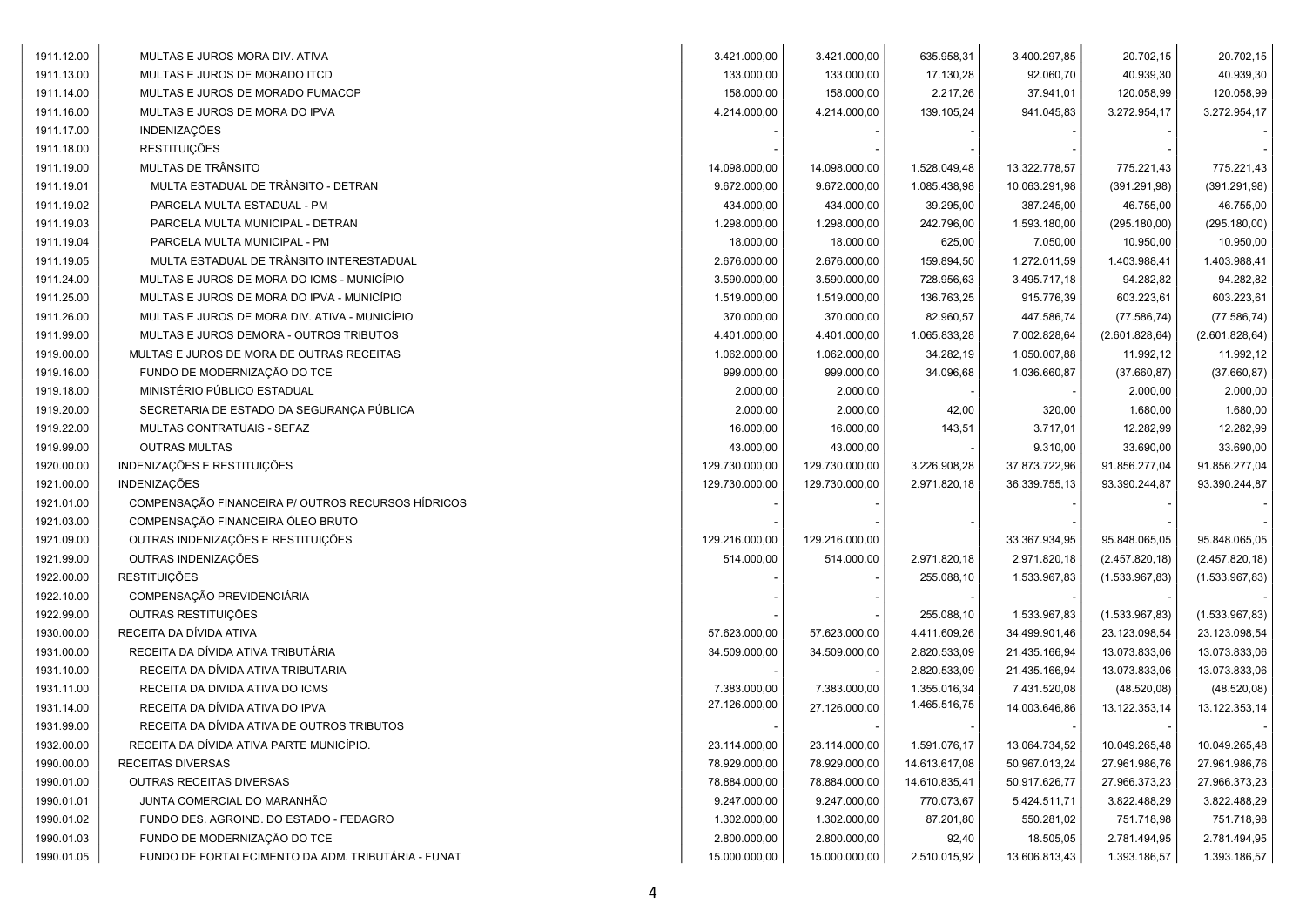| 1911.12.00 | MULTAS E JUROS MORA DIV. ATIVA                     | 3.421.000,00   | 3.421.000,00   | 635.958,31    | 3.400.297,85  | 20.702,15       | 20.702,15       |
|------------|----------------------------------------------------|----------------|----------------|---------------|---------------|-----------------|-----------------|
| 1911.13.00 | MULTAS E JUROS DE MORADO ITCD                      | 133.000,00     | 133.000,00     | 17.130,28     | 92.060,70     | 40.939,30       | 40.939,30       |
| 1911.14.00 | MULTAS E JUROS DE MORADO FUMACOP                   | 158.000,00     | 158.000,00     | 2.217,26      | 37.941,01     | 120.058,99      | 120.058,99      |
| 1911.16.00 | MULTAS E JUROS DE MORA DO IPVA                     | 4.214.000,00   | 4.214.000,00   | 139.105,24    | 941.045,83    | 3.272.954,17    | 3.272.954,17    |
| 1911.17.00 | <b>INDENIZAÇÕES</b>                                |                |                |               |               |                 |                 |
| 1911.18.00 | <b>RESTITUIÇÕES</b>                                |                |                |               |               |                 |                 |
| 1911.19.00 | MULTAS DE TRÂNSITO                                 | 14.098.000,00  | 14.098.000,00  | 1.528.049,48  | 13.322.778,57 | 775.221,43      | 775.221,43      |
| 1911.19.01 | MULTA ESTADUAL DE TRÂNSITO - DETRAN                | 9.672.000.00   | 9.672.000,00   | 1.085.438,98  | 10.063.291,98 | (391.291,98)    | (391.291,98)    |
| 1911.19.02 | PARCELA MULTA ESTADUAL - PM                        | 434.000,00     | 434.000,00     | 39.295,00     | 387.245,00    | 46.755,00       | 46.755,00       |
| 1911.19.03 | PARCELA MULTA MUNICIPAL - DETRAN                   | 1.298.000,00   | 1.298.000,00   | 242.796,00    | 1.593.180,00  | (295.180,00)    | (295.180,00)    |
| 1911.19.04 | PARCELA MULTA MUNICIPAL - PM                       | 18.000,00      | 18.000,00      | 625,00        | 7.050,00      | 10.950,00       | 10.950,00       |
| 1911.19.05 | MULTA ESTADUAL DE TRÂNSITO INTERESTADUAL           | 2.676.000,00   | 2.676.000,00   | 159.894,50    | 1.272.011,59  | 1.403.988,41    | 1.403.988,41    |
| 1911.24.00 | MULTAS E JUROS DE MORA DO ICMS - MUNICÍPIO         | 3.590.000,00   | 3.590.000,00   | 728.956,63    | 3.495.717,18  | 94.282,82       | 94.282,82       |
| 1911.25.00 | MULTAS E JUROS DE MORA DO IPVA - MUNICÍPIO         | 1.519.000,00   | 1.519.000,00   | 136.763,25    | 915.776,39    | 603.223,61      | 603.223,61      |
| 1911.26.00 | MULTAS E JUROS DE MORA DIV. ATIVA - MUNICÍPIO      | 370.000,00     | 370.000,00     | 82.960,57     | 447.586,74    | (77.586, 74)    | (77.586, 74)    |
| 1911.99.00 | MULTAS E JUROS DEMORA - OUTROS TRIBUTOS            | 4.401.000,00   | 4.401.000,00   | 1.065.833,28  | 7.002.828,64  | (2.601.828, 64) | (2.601.828, 64) |
| 1919.00.00 | MULTAS E JUROS DE MORA DE OUTRAS RECEITAS          | 1.062.000,00   | 1.062.000,00   | 34.282,19     | 1.050.007,88  | 11.992,12       | 11.992,12       |
| 1919.16.00 | FUNDO DE MODERNIZAÇÃO DO TCE                       | 999.000,00     | 999.000,00     | 34.096,68     | 1.036.660,87  | (37.660, 87)    | (37.660, 87)    |
| 1919.18.00 | MINISTÉRIO PÚBLICO ESTADUAL                        | 2.000,00       | 2.000,00       |               |               | 2.000,00        | 2.000,00        |
| 1919.20.00 | SECRETARIA DE ESTADO DA SEGURANÇA PÚBLICA          | 2.000,00       | 2.000,00       | 42,00         | 320,00        | 1.680,00        | 1.680,00        |
| 1919.22.00 | MULTAS CONTRATUAIS - SEFAZ                         | 16.000,00      | 16.000,00      | 143,51        | 3.717,01      | 12.282,99       | 12.282,99       |
| 1919.99.00 | <b>OUTRAS MULTAS</b>                               | 43.000,00      | 43.000,00      |               | 9.310,00      | 33.690,00       | 33.690,00       |
| 1920.00.00 | INDENIZAÇÕES E RESTITUIÇÕES                        | 129.730.000,00 | 129.730.000,00 | 3.226.908,28  | 37.873.722,96 | 91.856.277,04   | 91.856.277,04   |
| 1921.00.00 | INDENIZAÇÕES                                       | 129.730.000,00 | 129.730.000,00 | 2.971.820,18  | 36.339.755,13 | 93.390.244,87   | 93.390.244,87   |
| 1921.01.00 | COMPENSAÇÃO FINANCEIRA P/ OUTROS RECURSOS HÍDRICOS |                |                |               |               |                 |                 |
| 1921.03.00 | COMPENSAÇÃO FINANCEIRA ÓLEO BRUTO                  |                |                |               |               |                 |                 |
| 1921.09.00 | OUTRAS INDENIZAÇÕES E RESTITUIÇÕES                 | 129.216.000,00 | 129.216.000,00 |               | 33.367.934,95 | 95.848.065,05   | 95.848.065,05   |
| 1921.99.00 | OUTRAS INDENIZAÇÕES                                | 514.000,00     | 514.000,00     | 2.971.820,18  | 2.971.820,18  | (2.457.820, 18) | (2.457.820, 18) |
| 1922.00.00 | <b>RESTITUICÕES</b>                                |                |                | 255.088,10    | 1.533.967,83  | (1.533.967, 83) | (1.533.967, 83) |
| 1922.10.00 | COMPENSAÇÃO PREVIDENCIÁRIA                         |                |                |               |               |                 |                 |
| 1922.99.00 | OUTRAS RESTITUIÇÕES                                |                |                | 255.088,10    | 1.533.967,83  | (1.533.967, 83) | (1.533.967, 83) |
| 1930.00.00 | RECEITA DA DÍVIDA ATIVA                            | 57.623.000,00  | 57.623.000,00  | 4.411.609,26  | 34.499.901,46 | 23.123.098,54   | 23.123.098,54   |
| 1931.00.00 | RECEITA DA DÍVIDA ATIVA TRIBUTÁRIA                 | 34.509.000.00  | 34.509.000,00  | 2.820.533,09  | 21.435.166,94 | 13.073.833,06   | 13.073.833,06   |
| 1931.10.00 | RECEITA DA DÍVIDA ATIVA TRIBUTARIA                 |                |                | 2.820.533,09  | 21.435.166,94 | 13.073.833,06   | 13.073.833,06   |
| 1931.11.00 | RECEITA DA DIVIDA ATIVA DO ICMS                    | 7.383.000,00   | 7.383.000,00   | 1.355.016,34  | 7.431.520,08  | (48.520,08)     | (48.520,08)     |
| 1931.14.00 | RECEITA DA DÍVIDA ATIVA DO IPVA                    | 27.126.000,00  | 27.126.000,00  | 1.465.516,75  | 14.003.646,86 | 13.122.353,14   | 13.122.353,14   |
| 1931.99.00 | RECEITA DA DÍVIDA ATIVA DE OUTROS TRIBUTOS         |                |                |               |               |                 |                 |
| 1932.00.00 | RECEITA DA DÍVIDA ATIVA PARTE MUNICÍPIO.           | 23.114.000,00  | 23.114.000,00  | 1.591.076,17  | 13.064.734,52 | 10.049.265,48   | 10.049.265,48   |
| 1990.00.00 | RECEITAS DIVERSAS                                  | 78.929.000,00  | 78.929.000,00  | 14.613.617,08 | 50.967.013,24 | 27.961.986,76   | 27.961.986,76   |
| 1990.01.00 | <b>OUTRAS RECEITAS DIVERSAS</b>                    | 78.884.000,00  | 78.884.000,00  | 14.610.835,41 | 50.917.626,77 | 27.966.373,23   | 27.966.373,23   |
| 1990.01.01 | JUNTA COMERCIAL DO MARANHÃO                        | 9.247.000,00   | 9.247.000,00   | 770.073,67    | 5.424.511,71  | 3.822.488,29    | 3.822.488,29    |
| 1990.01.02 | FUNDO DES. AGROIND. DO ESTADO - FEDAGRO            | 1.302.000,00   | 1.302.000,00   | 87.201,80     | 550.281,02    | 751.718,98      | 751.718,98      |
| 1990.01.03 | FUNDO DE MODERNIZAÇÃO DO TCE                       | 2.800.000,00   | 2.800.000,00   | 92,40         | 18.505,05     | 2.781.494,95    | 2.781.494,95    |
| 1990.01.05 | FUNDO DE FORTALECIMENTO DA ADM. TRIBUTÁRIA - FUNAT | 15.000.000,00  | 15.000.000,00  | 2.510.015,92  | 13.606.813,43 | 1.393.186,57    | 1.393.186,57    |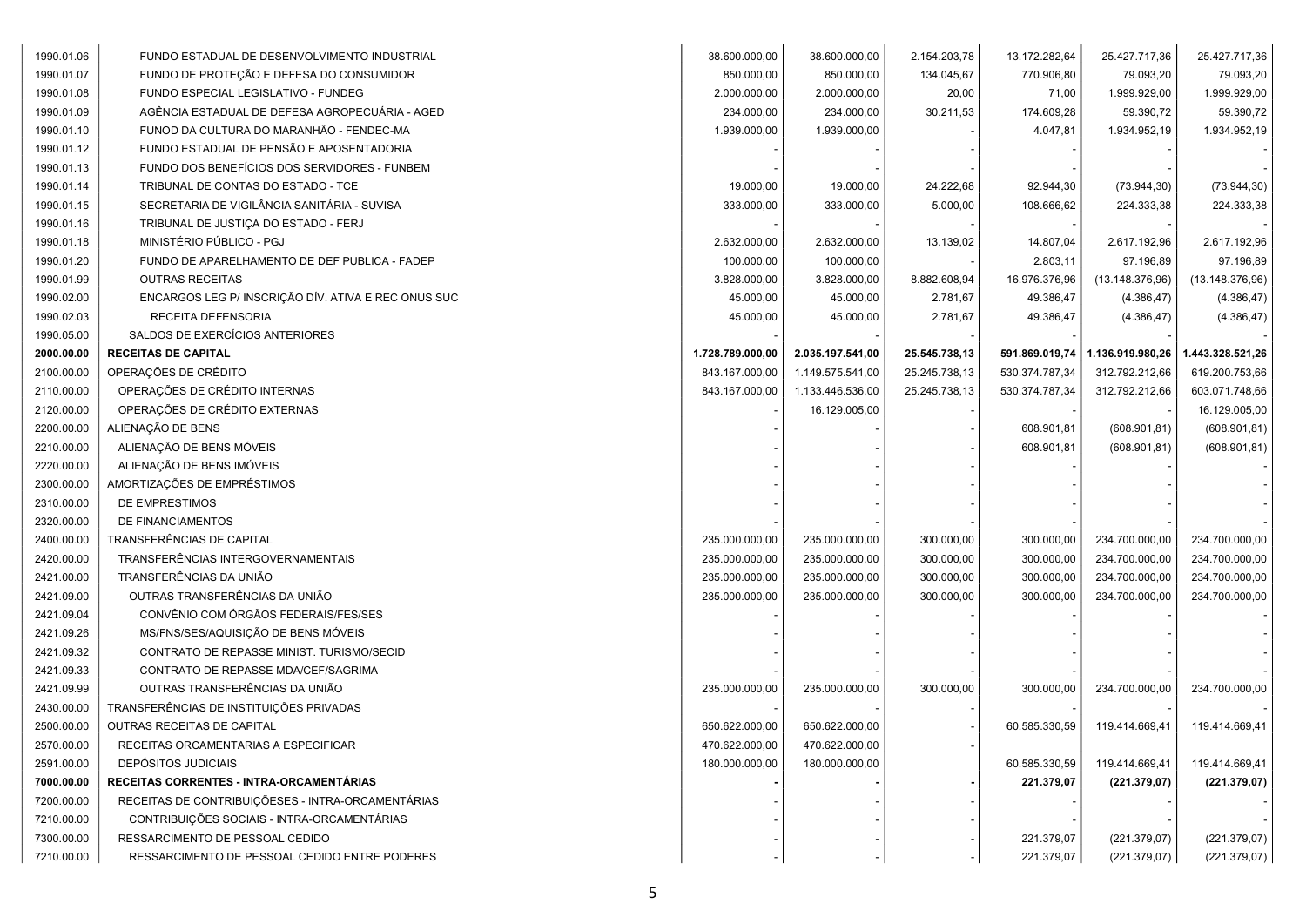| 1990.01.06 | FUNDO ESTADUAL DE DESENVOLVIMENTO INDUSTRIAL        | 38.600.000,00    | 38.600.000,00    | 2.154.203,78  | 13.172.282,64  | 25.427.717,36    | 25.427.717,36    |
|------------|-----------------------------------------------------|------------------|------------------|---------------|----------------|------------------|------------------|
| 1990.01.07 | FUNDO DE PROTEÇÃO E DEFESA DO CONSUMIDOR            | 850.000,00       | 850.000,00       | 134.045,67    | 770.906,80     | 79.093,20        | 79.093,20        |
| 1990.01.08 | FUNDO ESPECIAL LEGISLATIVO - FUNDEG                 | 2.000.000,00     | 2.000.000,00     | 20,00         | 71,00          | 1.999.929,00     | 1.999.929,00     |
| 1990.01.09 | AGÊNCIA ESTADUAL DE DEFESA AGROPECUÁRIA - AGED      | 234.000,00       | 234.000,00       | 30.211,53     | 174.609,28     | 59.390,72        | 59.390,72        |
| 1990.01.10 | FUNOD DA CULTURA DO MARANHÃO - FENDEC-MA            | 1.939.000,00     | 1.939.000,00     |               | 4.047,81       | 1.934.952,19     | 1.934.952,19     |
| 1990.01.12 | FUNDO ESTADUAL DE PENSÃO E APOSENTADORIA            |                  |                  |               |                |                  |                  |
| 1990.01.13 | FUNDO DOS BENEFÍCIOS DOS SERVIDORES - FUNBEM        |                  |                  |               |                |                  |                  |
| 1990.01.14 | TRIBUNAL DE CONTAS DO ESTADO - TCE                  | 19.000,00        | 19.000,00        | 24.222,68     | 92.944,30      | (73.944, 30)     | (73.944, 30)     |
| 1990.01.15 | SECRETARIA DE VIGILÂNCIA SANITÁRIA - SUVISA         | 333.000,00       | 333.000,00       | 5.000,00      | 108.666,62     | 224.333,38       | 224.333,38       |
| 1990.01.16 | TRIBUNAL DE JUSTIÇA DO ESTADO - FERJ                |                  |                  |               |                |                  |                  |
| 1990.01.18 | MINISTÉRIO PÚBLICO - PGJ                            | 2.632.000,00     | 2.632.000,00     | 13.139,02     | 14.807,04      | 2.617.192,96     | 2.617.192,96     |
| 1990.01.20 | FUNDO DE APARELHAMENTO DE DEF PUBLICA - FADEP       | 100.000,00       | 100.000,00       |               | 2.803,11       | 97.196,89        | 97.196,89        |
| 1990.01.99 | <b>OUTRAS RECEITAS</b>                              | 3.828.000,00     | 3.828.000,00     | 8.882.608,94  | 16.976.376,96  | (13.148.376,96)  | (13.148.376,96)  |
| 1990.02.00 | ENCARGOS LEG P/ INSCRIÇÃO DÍV. ATIVA E REC ONUS SUC | 45.000,00        | 45.000,00        | 2.781,67      | 49.386,47      | (4.386, 47)      | (4.386, 47)      |
| 1990.02.03 | RECEITA DEFENSORIA                                  | 45.000,00        | 45.000,00        | 2.781,67      | 49.386,47      | (4.386, 47)      | (4.386, 47)      |
| 1990.05.00 | SALDOS DE EXERCÍCIOS ANTERIORES                     |                  |                  |               |                |                  |                  |
| 2000.00.00 | <b>RECEITAS DE CAPITAL</b>                          | 1.728.789.000,00 | 2.035.197.541,00 | 25.545.738,13 | 591.869.019,74 | 1.136.919.980,26 | 1.443.328.521,26 |
| 2100.00.00 | OPERAÇÕES DE CRÉDITO                                | 843.167.000,00   | 1.149.575.541,00 | 25.245.738,13 | 530.374.787,34 | 312.792.212,66   | 619.200.753,66   |
| 2110.00.00 | OPERAÇÕES DE CRÉDITO INTERNAS                       | 843.167.000,00   | 1.133.446.536,00 | 25.245.738,13 | 530.374.787,34 | 312.792.212,66   | 603.071.748,66   |
| 2120.00.00 | OPERAÇÕES DE CRÉDITO EXTERNAS                       |                  | 16.129.005,00    |               |                |                  | 16.129.005,00    |
| 2200.00.00 | ALIENAÇÃO DE BENS                                   |                  |                  |               | 608.901,81     | (608.901, 81)    | (608.901, 81)    |
| 2210.00.00 | ALIENAÇÃO DE BENS MÓVEIS                            |                  |                  |               | 608.901,81     | (608.901, 81)    | (608.901, 81)    |
| 2220.00.00 | ALIENAÇÃO DE BENS IMÓVEIS                           |                  |                  |               |                |                  |                  |
| 2300.00.00 | AMORTIZAÇÕES DE EMPRÉSTIMOS                         |                  |                  |               |                |                  |                  |
| 2310.00.00 | DE EMPRESTIMOS                                      |                  |                  |               |                |                  |                  |
| 2320.00.00 | DE FINANCIAMENTOS                                   |                  |                  |               |                |                  |                  |
| 2400.00.00 | TRANSFERÊNCIAS DE CAPITAL                           | 235.000.000,00   | 235.000.000,00   | 300.000,00    | 300.000,00     | 234.700.000,00   | 234.700.000,00   |
| 2420.00.00 | TRANSFERÊNCIAS INTERGOVERNAMENTAIS                  | 235.000.000,00   | 235.000.000,00   | 300.000,00    | 300.000,00     | 234.700.000,00   | 234.700.000,00   |
| 2421.00.00 | TRANSFERÊNCIAS DA UNIÃO                             | 235.000.000,00   | 235.000.000,00   | 300.000,00    | 300.000,00     | 234.700.000,00   | 234.700.000,00   |
| 2421.09.00 | OUTRAS TRANSFERÊNCIAS DA UNIÃO                      | 235.000.000,00   | 235.000.000,00   | 300.000,00    | 300.000,00     | 234.700.000,00   | 234.700.000,00   |
| 2421.09.04 | CONVÊNIO COM ÓRGÃOS FEDERAIS/FES/SES                |                  |                  |               |                |                  |                  |
| 2421.09.26 | MS/FNS/SES/AQUISIÇÃO DE BENS MÓVEIS                 |                  |                  |               |                |                  |                  |
| 2421.09.32 | CONTRATO DE REPASSE MINIST. TURISMO/SECID           |                  |                  |               |                |                  |                  |
| 2421.09.33 | CONTRATO DE REPASSE MDA/CEF/SAGRIMA                 |                  |                  |               |                |                  |                  |
| 2421.09.99 | OUTRAS TRANSFERÊNCIAS DA UNIÃO                      | 235.000.000,00   | 235.000.000,00   | 300.000,00    | 300.000,00     | 234.700.000,00   | 234.700.000,00   |
| 2430.00.00 | TRANSFERÊNCIAS DE INSTITUIÇÕES PRIVADAS             |                  |                  |               |                |                  |                  |
| 2500.00.00 | OUTRAS RECEITAS DE CAPITAL                          | 650.622.000,00   | 650.622.000,00   |               | 60.585.330,59  | 119.414.669,41   | 119.414.669,41   |
| 2570.00.00 | RECEITAS ORCAMENTARIAS A ESPECIFICAR                | 470.622.000,00   | 470.622.000,00   |               |                |                  |                  |
| 2591.00.00 | <b>DEPÓSITOS JUDICIAIS</b>                          | 180.000.000,00   | 180.000.000,00   |               | 60.585.330,59  | 119.414.669,41   | 119.414.669,41   |
| 7000.00.00 | RECEITAS CORRENTES - INTRA-ORCAMENTÁRIAS            |                  |                  |               | 221.379,07     | (221.379.07)     | (221.379,07)     |
| 7200.00.00 | RECEITAS DE CONTRIBUIÇÕESES - INTRA-ORCAMENTÁRIAS   |                  |                  |               |                |                  |                  |
| 7210.00.00 | CONTRIBUIÇÕES SOCIAIS - INTRA-ORCAMENTÁRIAS         |                  |                  |               |                |                  |                  |
| 7300.00.00 | RESSARCIMENTO DE PESSOAL CEDIDO                     |                  |                  |               | 221.379,07     | (221.379,07)     | (221.379,07)     |
| 7210.00.00 | RESSARCIMENTO DE PESSOAL CEDIDO ENTRE PODERES       |                  |                  |               | 221.379,07     | (221.379,07)     | (221.379,07)     |